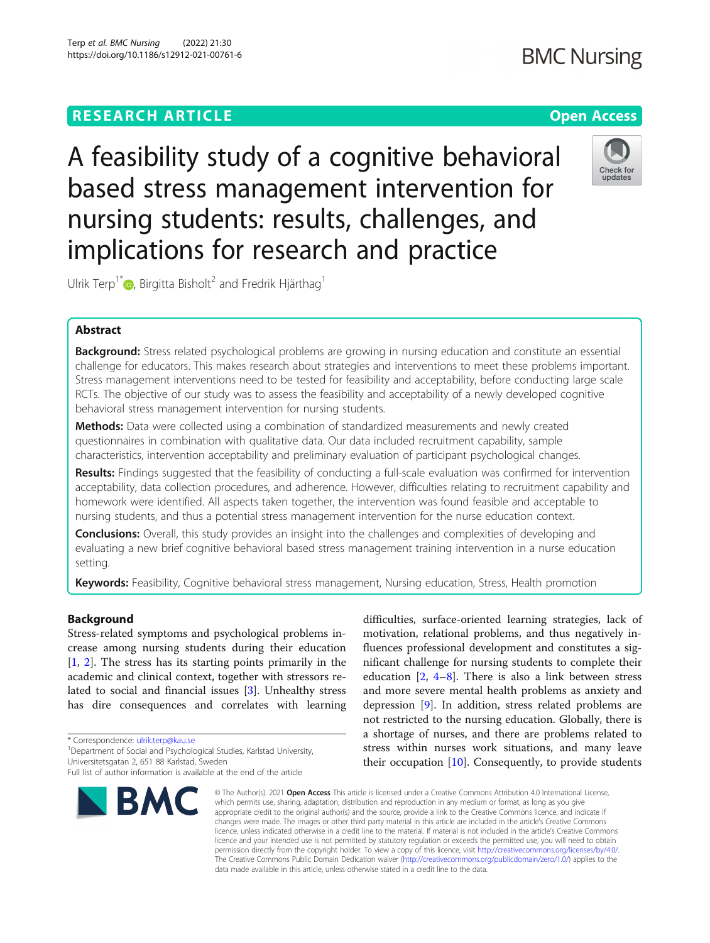# **RESEARCH ARTICLE Example 2014 12:30 The Contract of Contract ACCESS**

A feasibility study of a cognitive behavioral based stress management intervention for nursing students: results, challenges, and implications for research and practice

Ulrik Terp<sup>1[\\*](http://orcid.org/0000-0001-7180-0783)</sup> $\bullet$ , Birgitta Bisholt<sup>2</sup> and Fredrik Hjärthag<sup>1</sup>

## Abstract

Background: Stress related psychological problems are growing in nursing education and constitute an essential challenge for educators. This makes research about strategies and interventions to meet these problems important. Stress management interventions need to be tested for feasibility and acceptability, before conducting large scale RCTs. The objective of our study was to assess the feasibility and acceptability of a newly developed cognitive behavioral stress management intervention for nursing students.

**Methods:** Data were collected using a combination of standardized measurements and newly created questionnaires in combination with qualitative data. Our data included recruitment capability, sample characteristics, intervention acceptability and preliminary evaluation of participant psychological changes.

Results: Findings suggested that the feasibility of conducting a full-scale evaluation was confirmed for intervention acceptability, data collection procedures, and adherence. However, difficulties relating to recruitment capability and homework were identified. All aspects taken together, the intervention was found feasible and acceptable to nursing students, and thus a potential stress management intervention for the nurse education context.

**Conclusions:** Overall, this study provides an insight into the challenges and complexities of developing and evaluating a new brief cognitive behavioral based stress management training intervention in a nurse education setting.

Keywords: Feasibility, Cognitive behavioral stress management, Nursing education, Stress, Health promotion

## Background

Stress-related symptoms and psychological problems increase among nursing students during their education [[1,](#page-11-0) [2\]](#page-11-0). The stress has its starting points primarily in the academic and clinical context, together with stressors related to social and financial issues [[3\]](#page-11-0). Unhealthy stress has dire consequences and correlates with learning

\* Correspondence: [ulrik.terp@kau.se](mailto:ulrik.terp@kau.se) <sup>1</sup>

<sup>1</sup> Department of Social and Psychological Studies, Karlstad University,

Full list of author information is available at the end of the article





difficulties, surface-oriented learning strategies, lack of motivation, relational problems, and thus negatively influences professional development and constitutes a significant challenge for nursing students to complete their education  $[2, 4-8]$  $[2, 4-8]$  $[2, 4-8]$  $[2, 4-8]$  $[2, 4-8]$ . There is also a link between stress and more severe mental health problems as anxiety and depression [[9\]](#page-11-0). In addition, stress related problems are not restricted to the nursing education. Globally, there is a shortage of nurses, and there are problems related to stress within nurses work situations, and many leave their occupation  $[10]$  $[10]$ . Consequently, to provide students

© The Author(s), 2021 **Open Access** This article is licensed under a Creative Commons Attribution 4.0 International License, which permits use, sharing, adaptation, distribution and reproduction in any medium or format, as long as you give appropriate credit to the original author(s) and the source, provide a link to the Creative Commons licence, and indicate if changes were made. The images or other third party material in this article are included in the article's Creative Commons licence, unless indicated otherwise in a credit line to the material. If material is not included in the article's Creative Commons licence and your intended use is not permitted by statutory regulation or exceeds the permitted use, you will need to obtain permission directly from the copyright holder. To view a copy of this licence, visit [http://creativecommons.org/licenses/by/4.0/.](http://creativecommons.org/licenses/by/4.0/) The Creative Commons Public Domain Dedication waiver [\(http://creativecommons.org/publicdomain/zero/1.0/](http://creativecommons.org/publicdomain/zero/1.0/)) applies to the data made available in this article, unless otherwise stated in a credit line to the data.

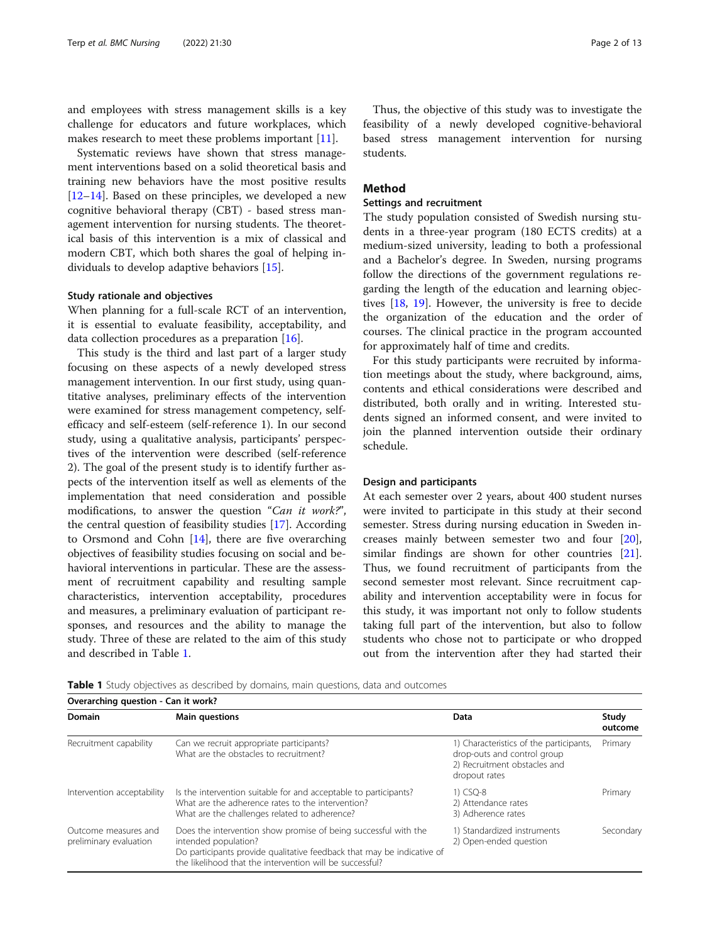and employees with stress management skills is a key challenge for educators and future workplaces, which makes research to meet these problems important [[11](#page-11-0)].

Systematic reviews have shown that stress management interventions based on a solid theoretical basis and training new behaviors have the most positive results [[12](#page-11-0)–[14](#page-11-0)]. Based on these principles, we developed a new cognitive behavioral therapy (CBT) - based stress management intervention for nursing students. The theoretical basis of this intervention is a mix of classical and modern CBT, which both shares the goal of helping individuals to develop adaptive behaviors [\[15\]](#page-11-0).

## Study rationale and objectives

When planning for a full-scale RCT of an intervention, it is essential to evaluate feasibility, acceptability, and data collection procedures as a preparation [\[16](#page-11-0)].

This study is the third and last part of a larger study focusing on these aspects of a newly developed stress management intervention. In our first study, using quantitative analyses, preliminary effects of the intervention were examined for stress management competency, selfefficacy and self-esteem (self-reference 1). In our second study, using a qualitative analysis, participants' perspectives of the intervention were described (self-reference 2). The goal of the present study is to identify further aspects of the intervention itself as well as elements of the implementation that need consideration and possible modifications, to answer the question "Can it work?", the central question of feasibility studies [[17\]](#page-11-0). According to Orsmond and Cohn [\[14\]](#page-11-0), there are five overarching objectives of feasibility studies focusing on social and behavioral interventions in particular. These are the assessment of recruitment capability and resulting sample characteristics, intervention acceptability, procedures and measures, a preliminary evaluation of participant responses, and resources and the ability to manage the study. Three of these are related to the aim of this study and described in Table 1.

Thus, the objective of this study was to investigate the feasibility of a newly developed cognitive-behavioral based stress management intervention for nursing students.

## Method

## Settings and recruitment

The study population consisted of Swedish nursing students in a three-year program (180 ECTS credits) at a medium-sized university, leading to both a professional and a Bachelor's degree. In Sweden, nursing programs follow the directions of the government regulations regarding the length of the education and learning objectives [[18](#page-11-0), [19](#page-11-0)]. However, the university is free to decide the organization of the education and the order of courses. The clinical practice in the program accounted for approximately half of time and credits.

For this study participants were recruited by information meetings about the study, where background, aims, contents and ethical considerations were described and distributed, both orally and in writing. Interested students signed an informed consent, and were invited to join the planned intervention outside their ordinary schedule.

## Design and participants

At each semester over 2 years, about 400 student nurses were invited to participate in this study at their second semester. Stress during nursing education in Sweden increases mainly between semester two and four [\[20](#page-11-0)], similar findings are shown for other countries [\[21](#page-11-0)]. Thus, we found recruitment of participants from the second semester most relevant. Since recruitment capability and intervention acceptability were in focus for this study, it was important not only to follow students taking full part of the intervention, but also to follow students who chose not to participate or who dropped out from the intervention after they had started their

Table 1 Study objectives as described by domains, main questions, data and outcomes

| Overarching question - Can it work?            |                                                                                                                                                                                                                               |                                                                                                                         |                  |  |  |  |
|------------------------------------------------|-------------------------------------------------------------------------------------------------------------------------------------------------------------------------------------------------------------------------------|-------------------------------------------------------------------------------------------------------------------------|------------------|--|--|--|
| Domain                                         | <b>Main questions</b>                                                                                                                                                                                                         | Data                                                                                                                    | Study<br>outcome |  |  |  |
| Recruitment capability                         | Can we recruit appropriate participants?<br>What are the obstacles to recruitment?                                                                                                                                            | 1) Characteristics of the participants,<br>drop-outs and control group<br>2) Recruitment obstacles and<br>dropout rates | Primary          |  |  |  |
| Intervention acceptability                     | Is the intervention suitable for and acceptable to participants?<br>What are the adherence rates to the intervention?<br>What are the challenges related to adherence?                                                        | 1) CSO-8<br>2) Attendance rates<br>3) Adherence rates                                                                   | Primary          |  |  |  |
| Outcome measures and<br>preliminary evaluation | Does the intervention show promise of being successful with the<br>intended population?<br>Do participants provide qualitative feedback that may be indicative of<br>the likelihood that the intervention will be successful? | 1) Standardized instruments<br>2) Open-ended question                                                                   | Secondary        |  |  |  |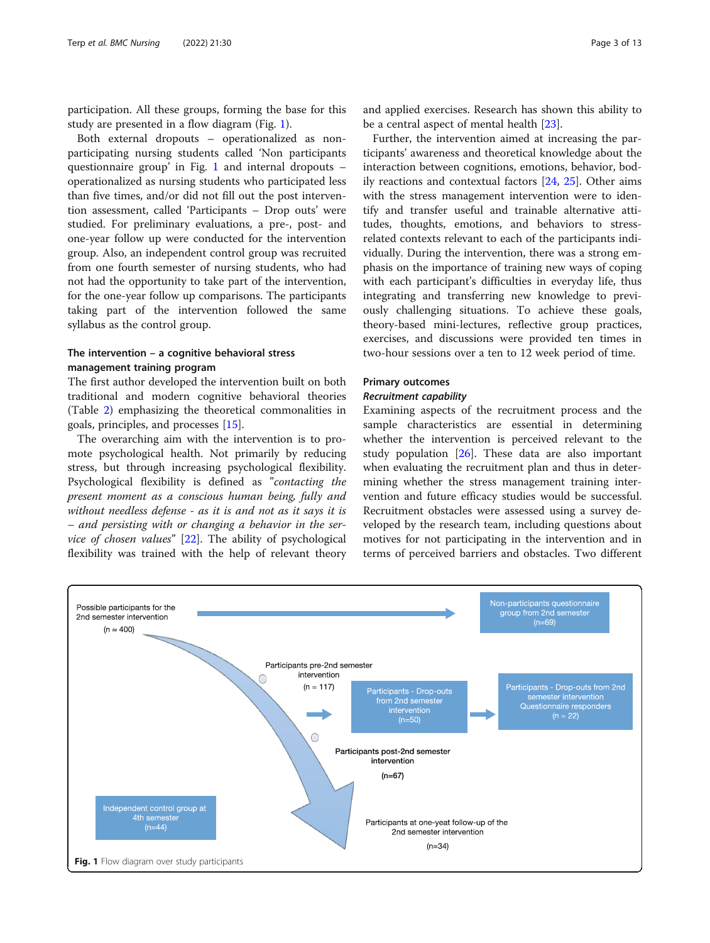participation. All these groups, forming the base for this study are presented in a flow diagram (Fig. 1).

Both external dropouts – operationalized as nonparticipating nursing students called 'Non participants questionnaire group' in Fig. 1 and internal dropouts – operationalized as nursing students who participated less than five times, and/or did not fill out the post intervention assessment, called 'Participants – Drop outs' were studied. For preliminary evaluations, a pre-, post- and one-year follow up were conducted for the intervention group. Also, an independent control group was recruited from one fourth semester of nursing students, who had not had the opportunity to take part of the intervention, for the one-year follow up comparisons. The participants taking part of the intervention followed the same syllabus as the control group.

## The intervention – a cognitive behavioral stress management training program

The first author developed the intervention built on both traditional and modern cognitive behavioral theories (Table [2\)](#page-3-0) emphasizing the theoretical commonalities in goals, principles, and processes [[15\]](#page-11-0).

The overarching aim with the intervention is to promote psychological health. Not primarily by reducing stress, but through increasing psychological flexibility. Psychological flexibility is defined as "contacting the present moment as a conscious human being, fully and without needless defense - as it is and not as it says it is – and persisting with or changing a behavior in the service of chosen values"  $[22]$  $[22]$ . The ability of psychological flexibility was trained with the help of relevant theory

and applied exercises. Research has shown this ability to be a central aspect of mental health [[23\]](#page-11-0).

Further, the intervention aimed at increasing the participants' awareness and theoretical knowledge about the interaction between cognitions, emotions, behavior, bodily reactions and contextual factors [[24](#page-11-0), [25\]](#page-11-0). Other aims with the stress management intervention were to identify and transfer useful and trainable alternative attitudes, thoughts, emotions, and behaviors to stressrelated contexts relevant to each of the participants individually. During the intervention, there was a strong emphasis on the importance of training new ways of coping with each participant's difficulties in everyday life, thus integrating and transferring new knowledge to previously challenging situations. To achieve these goals, theory-based mini-lectures, reflective group practices, exercises, and discussions were provided ten times in two-hour sessions over a ten to 12 week period of time.

## Primary outcomes

### Recruitment capability

Examining aspects of the recruitment process and the sample characteristics are essential in determining whether the intervention is perceived relevant to the study population  $[26]$  $[26]$ . These data are also important when evaluating the recruitment plan and thus in determining whether the stress management training intervention and future efficacy studies would be successful. Recruitment obstacles were assessed using a survey developed by the research team, including questions about motives for not participating in the intervention and in terms of perceived barriers and obstacles. Two different

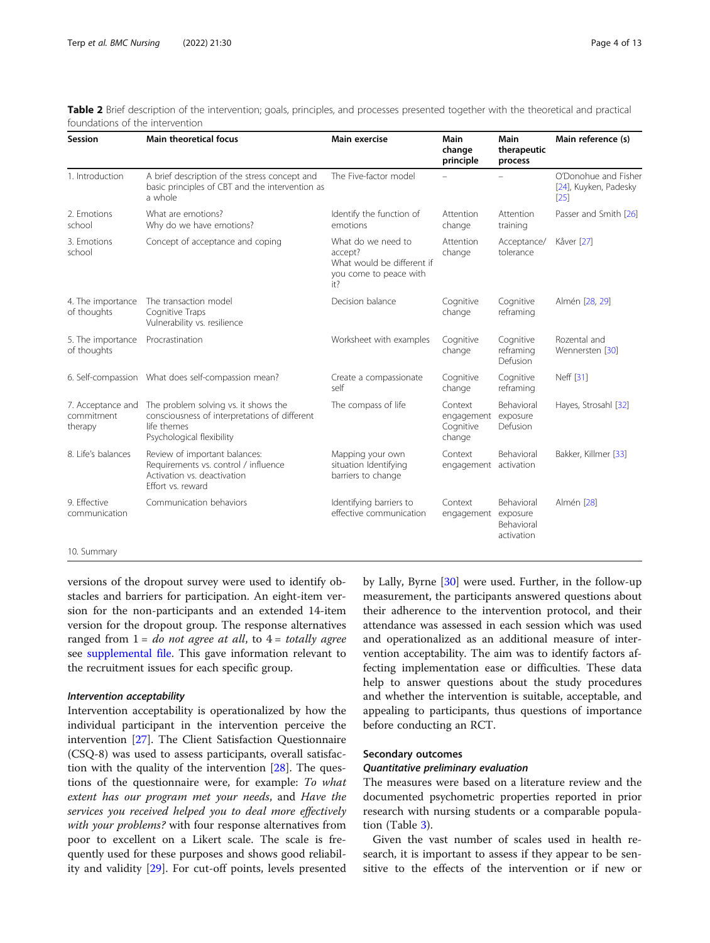<span id="page-3-0"></span>

|                                 | Table 2 Brief description of the intervention; goals, principles, and processes presented together with the theoretical and practical |  |
|---------------------------------|---------------------------------------------------------------------------------------------------------------------------------------|--|
| foundations of the intervention |                                                                                                                                       |  |

| Session                                    | Main theoretical focus                                                                                                            | Main exercise                                                                                | <b>Main</b><br>change<br>principle           | Main<br>therapeutic<br>process                            | Main reference (s)                                    |
|--------------------------------------------|-----------------------------------------------------------------------------------------------------------------------------------|----------------------------------------------------------------------------------------------|----------------------------------------------|-----------------------------------------------------------|-------------------------------------------------------|
| 1. Introduction                            | A brief description of the stress concept and<br>basic principles of CBT and the intervention as<br>a whole                       | The Five-factor model                                                                        |                                              |                                                           | O'Donohue and Fisher<br>[24], Kuyken, Padesky<br>[25] |
| 2. Emotions<br>school                      | What are emotions?<br>Why do we have emotions?                                                                                    | Identify the function of<br>emotions                                                         | Attention<br>change                          | Attention<br>training                                     | Passer and Smith [26]                                 |
| 3. Emotions<br>school                      | Concept of acceptance and coping                                                                                                  | What do we need to<br>accept?<br>What would be different if<br>you come to peace with<br>it? | Attention<br>change                          | Acceptance/<br>tolerance                                  | Kåver [27]                                            |
| 4. The importance<br>of thoughts           | The transaction model<br>Cognitive Traps<br>Vulnerability vs. resilience                                                          | Decision balance                                                                             | Cognitive<br>change                          | Cognitive<br>reframing                                    | Almén [28, 29]                                        |
| 5. The importance<br>of thoughts           | Procrastination                                                                                                                   | Worksheet with examples                                                                      | Cognitive<br>change                          | Cognitive<br>reframing<br><b>Defusion</b>                 | Rozental and<br>Wennersten [30]                       |
|                                            | 6. Self-compassion  What does self-compassion mean?                                                                               | Create a compassionate<br>self                                                               | Cognitive<br>change                          | Cognitive<br>reframing                                    | Neff [31]                                             |
| 7. Acceptance and<br>commitment<br>therapy | The problem solving vs. it shows the<br>consciousness of interpretations of different<br>life themes<br>Psychological flexibility | The compass of life                                                                          | Context<br>engagement<br>Cognitive<br>change | Behavioral<br>exposure<br>Defusion                        | Hayes, Strosahl [32]                                  |
| 8. Life's balances                         | Review of important balances:<br>Requirements vs. control / influence<br>Activation vs. deactivation<br>Effort vs. reward         | Mapping your own<br>situation Identifying<br>barriers to change                              | Context<br>engagement activation             | <b>Behavioral</b>                                         | Bakker, Killmer [33]                                  |
| 9. Fffective<br>communication              | Communication behaviors                                                                                                           | Identifying barriers to<br>effective communication                                           | Context<br>engagement                        | <b>Behavioral</b><br>exposure<br>Behavioral<br>activation | Almén [28]                                            |
| 10. Summary                                |                                                                                                                                   |                                                                                              |                                              |                                                           |                                                       |

versions of the dropout survey were used to identify obstacles and barriers for participation. An eight-item version for the non-participants and an extended 14-item version for the dropout group. The response alternatives ranged from  $1 = do$  not agree at all, to  $4 = totally$  agree see [supplemental file.](#page-11-0) This gave information relevant to the recruitment issues for each specific group.

#### Intervention acceptability

Intervention acceptability is operationalized by how the individual participant in the intervention perceive the intervention [[27](#page-11-0)]. The Client Satisfaction Questionnaire (CSQ-8) was used to assess participants, overall satisfaction with the quality of the intervention  $[28]$  $[28]$ . The questions of the questionnaire were, for example: To what extent has our program met your needs, and Have the services you received helped you to deal more effectively with your problems? with four response alternatives from poor to excellent on a Likert scale. The scale is frequently used for these purposes and shows good reliability and validity [[29\]](#page-11-0). For cut-off points, levels presented by Lally, Byrne [[30](#page-11-0)] were used. Further, in the follow-up measurement, the participants answered questions about their adherence to the intervention protocol, and their attendance was assessed in each session which was used and operationalized as an additional measure of intervention acceptability. The aim was to identify factors affecting implementation ease or difficulties. These data help to answer questions about the study procedures and whether the intervention is suitable, acceptable, and appealing to participants, thus questions of importance before conducting an RCT.

## Secondary outcomes

## Quantitative preliminary evaluation

The measures were based on a literature review and the documented psychometric properties reported in prior research with nursing students or a comparable population (Table [3\)](#page-4-0).

Given the vast number of scales used in health research, it is important to assess if they appear to be sensitive to the effects of the intervention or if new or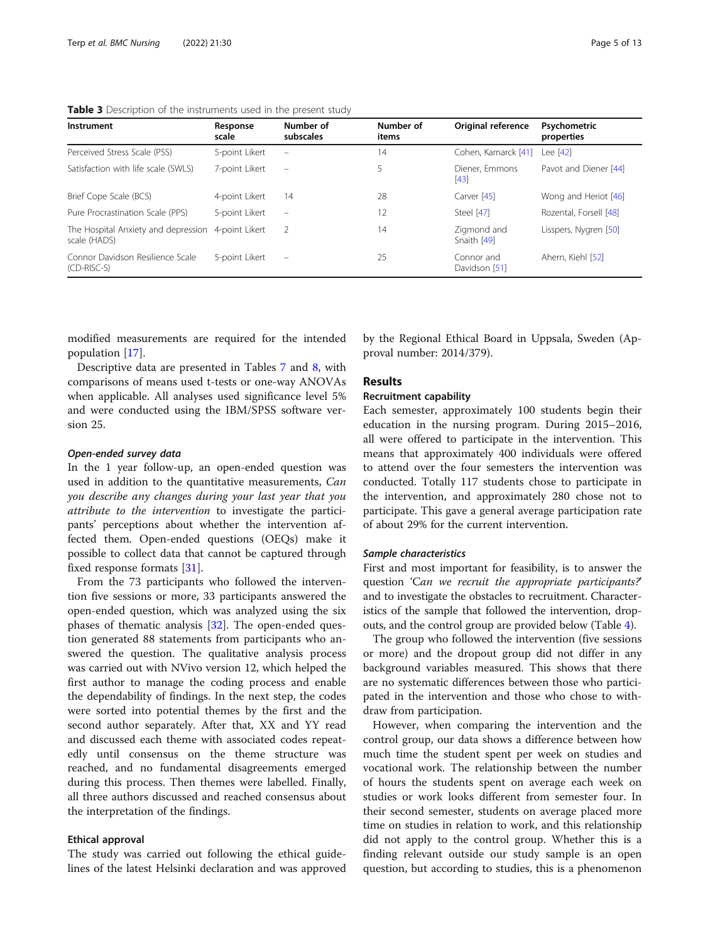| Instrument                                          | Response<br>scale | Number of<br>subscales   | Number of<br>items | Original reference          | Psychometric<br>properties |
|-----------------------------------------------------|-------------------|--------------------------|--------------------|-----------------------------|----------------------------|
| Perceived Stress Scale (PSS)                        | 5-point Likert    | $\overline{\phantom{a}}$ | 14                 | Cohen, Kamarck [41]         | Lee [42]                   |
| Satisfaction with life scale (SWLS)                 | 7-point Likert    | $\overline{\phantom{0}}$ | 5                  | Diener, Emmons<br>[43]      | Pavot and Diener [44]      |
| Brief Cope Scale (BCS)                              | 4-point Likert    | 14                       | 28                 | Carver [45]                 | Wong and Heriot [46]       |
| Pure Procrastination Scale (PPS)                    | 5-point Likert    | $\overline{\phantom{a}}$ | 12                 | Steel [47]                  | Rozental, Forsell [48]     |
| The Hospital Anxiety and depression<br>scale (HADS) | 4-point Likert    | -2                       | 14                 | Zigmond and<br>Snaith [49]  | Lisspers, Nygren [50]      |
| Connor Davidson Resilience Scale<br>(CD-RISC-S)     | 5-point Likert    | $\equiv$                 | 25                 | Connor and<br>Davidson [51] | Ahern, Kiehl [52]          |

<span id="page-4-0"></span>Table 3 Description of the instruments used in the present study

modified measurements are required for the intended population [[17\]](#page-11-0).

Descriptive data are presented in Tables [7](#page-7-0) and [8](#page-8-0), with comparisons of means used t-tests or one-way ANOVAs when applicable. All analyses used significance level 5% and were conducted using the IBM/SPSS software version 25.

## Open-ended survey data

In the 1 year follow-up, an open-ended question was used in addition to the quantitative measurements, Can you describe any changes during your last year that you attribute to the intervention to investigate the participants' perceptions about whether the intervention affected them. Open-ended questions (OEQs) make it possible to collect data that cannot be captured through fixed response formats [[31](#page-11-0)].

From the 73 participants who followed the intervention five sessions or more, 33 participants answered the open-ended question, which was analyzed using the six phases of thematic analysis [[32\]](#page-11-0). The open-ended question generated 88 statements from participants who answered the question. The qualitative analysis process was carried out with NVivo version 12, which helped the first author to manage the coding process and enable the dependability of findings. In the next step, the codes were sorted into potential themes by the first and the second author separately. After that, XX and YY read and discussed each theme with associated codes repeatedly until consensus on the theme structure was reached, and no fundamental disagreements emerged during this process. Then themes were labelled. Finally, all three authors discussed and reached consensus about the interpretation of the findings.

#### Ethical approval

The study was carried out following the ethical guidelines of the latest Helsinki declaration and was approved

by the Regional Ethical Board in Uppsala, Sweden (Approval number: 2014/379).

## **Results**

#### Recruitment capability

Each semester, approximately 100 students begin their education in the nursing program. During 2015–2016, all were offered to participate in the intervention. This means that approximately 400 individuals were offered to attend over the four semesters the intervention was conducted. Totally 117 students chose to participate in the intervention, and approximately 280 chose not to participate. This gave a general average participation rate of about 29% for the current intervention.

## Sample characteristics

First and most important for feasibility, is to answer the question 'Can we recruit the appropriate participants?' and to investigate the obstacles to recruitment. Characteristics of the sample that followed the intervention, dropouts, and the control group are provided below (Table [4\)](#page-5-0).

The group who followed the intervention (five sessions or more) and the dropout group did not differ in any background variables measured. This shows that there are no systematic differences between those who participated in the intervention and those who chose to withdraw from participation.

However, when comparing the intervention and the control group, our data shows a difference between how much time the student spent per week on studies and vocational work. The relationship between the number of hours the students spent on average each week on studies or work looks different from semester four. In their second semester, students on average placed more time on studies in relation to work, and this relationship did not apply to the control group. Whether this is a finding relevant outside our study sample is an open question, but according to studies, this is a phenomenon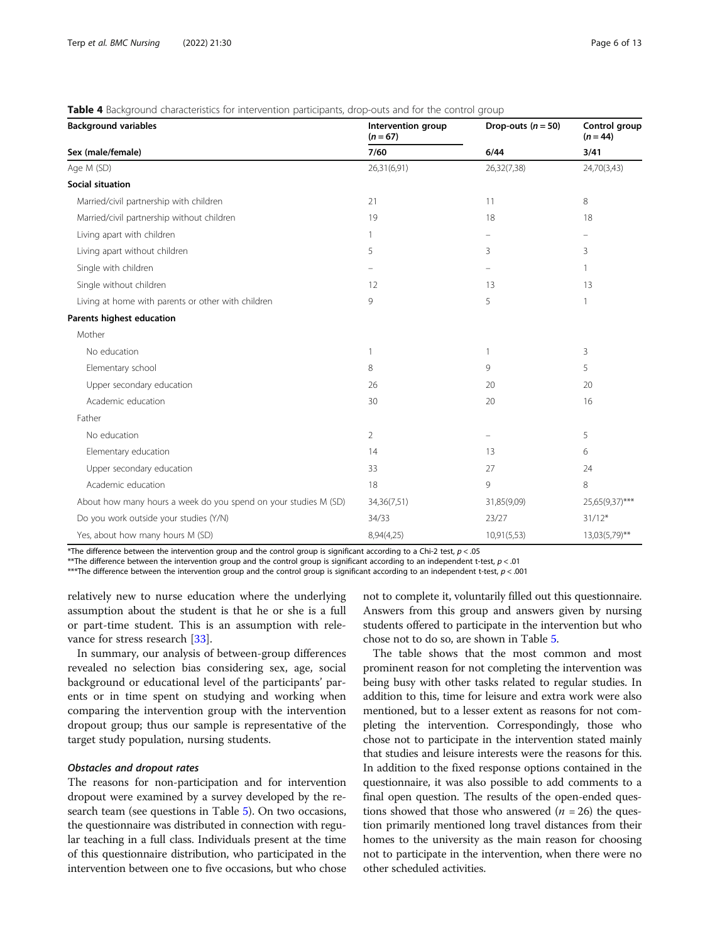<span id="page-5-0"></span>

| <b>Background variables</b>                                     | Intervention group<br>$(n = 67)$ | Drop-outs $(n = 50)$ | Control group<br>$(n = 44)$ |  |
|-----------------------------------------------------------------|----------------------------------|----------------------|-----------------------------|--|
| Sex (male/female)                                               | 7/60                             | 6/44                 | 3/41                        |  |
| Age M (SD)                                                      | 26,31(6,91)                      | 26,32(7,38)          | 24,70(3,43)                 |  |
| <b>Social situation</b>                                         |                                  |                      |                             |  |
| Married/civil partnership with children                         | 21                               | 11                   | 8                           |  |
| Married/civil partnership without children                      | 19                               | 18                   | 18                          |  |
| Living apart with children                                      | $\mathbf{1}$                     |                      |                             |  |
| Living apart without children                                   | 5                                | 3                    | 3                           |  |
| Single with children                                            |                                  |                      | $\mathbf{1}$                |  |
| Single without children                                         | 12                               | 13                   | 13                          |  |
| Living at home with parents or other with children              | 9                                | 5                    | $\mathbf{1}$                |  |
| Parents highest education                                       |                                  |                      |                             |  |
| Mother                                                          |                                  |                      |                             |  |
| No education                                                    | 1                                | $\overline{1}$       | 3                           |  |
| Elementary school                                               | 8                                | 9                    | 5                           |  |
| Upper secondary education                                       | 26                               | 20                   | 20                          |  |
| Academic education                                              | 30                               | 20                   | 16                          |  |
| Father                                                          |                                  |                      |                             |  |
| No education                                                    | $\overline{2}$                   |                      | 5                           |  |
| Elementary education                                            | 14                               | 13                   | 6                           |  |
| Upper secondary education                                       | 33                               | 27                   | 24                          |  |
| Academic education                                              | 18                               | 9                    | 8                           |  |
| About how many hours a week do you spend on your studies M (SD) | 34,36(7,51)                      | 31,85(9,09)          | 25,65(9,37)***              |  |
| Do you work outside your studies (Y/N)                          | 34/33                            | 23/27                | $31/12*$                    |  |
| Yes, about how many hours M (SD)                                | 8,94(4,25)                       | 10,91(5,53)          | 13,03(5,79)**               |  |

\*The difference between the intervention group and the control group is significant according to a Chi-2 test,  $p < .05$ 

\*\*The difference between the intervention group and the control group is significant according to an independent t-test,  $p < .01$ 

\*\*\*The difference between the intervention group and the control group is significant according to an independent t-test, p < .001

relatively new to nurse education where the underlying assumption about the student is that he or she is a full or part-time student. This is an assumption with relevance for stress research [\[33\]](#page-11-0).

In summary, our analysis of between-group differences revealed no selection bias considering sex, age, social background or educational level of the participants' parents or in time spent on studying and working when comparing the intervention group with the intervention dropout group; thus our sample is representative of the target study population, nursing students.

## Obstacles and dropout rates

The reasons for non-participation and for intervention dropout were examined by a survey developed by the research team (see questions in Table [5](#page-6-0)). On two occasions, the questionnaire was distributed in connection with regular teaching in a full class. Individuals present at the time of this questionnaire distribution, who participated in the intervention between one to five occasions, but who chose

not to complete it, voluntarily filled out this questionnaire. Answers from this group and answers given by nursing students offered to participate in the intervention but who chose not to do so, are shown in Table [5.](#page-6-0)

The table shows that the most common and most prominent reason for not completing the intervention was being busy with other tasks related to regular studies. In addition to this, time for leisure and extra work were also mentioned, but to a lesser extent as reasons for not completing the intervention. Correspondingly, those who chose not to participate in the intervention stated mainly that studies and leisure interests were the reasons for this. In addition to the fixed response options contained in the questionnaire, it was also possible to add comments to a final open question. The results of the open-ended questions showed that those who answered ( $n = 26$ ) the question primarily mentioned long travel distances from their homes to the university as the main reason for choosing not to participate in the intervention, when there were no other scheduled activities.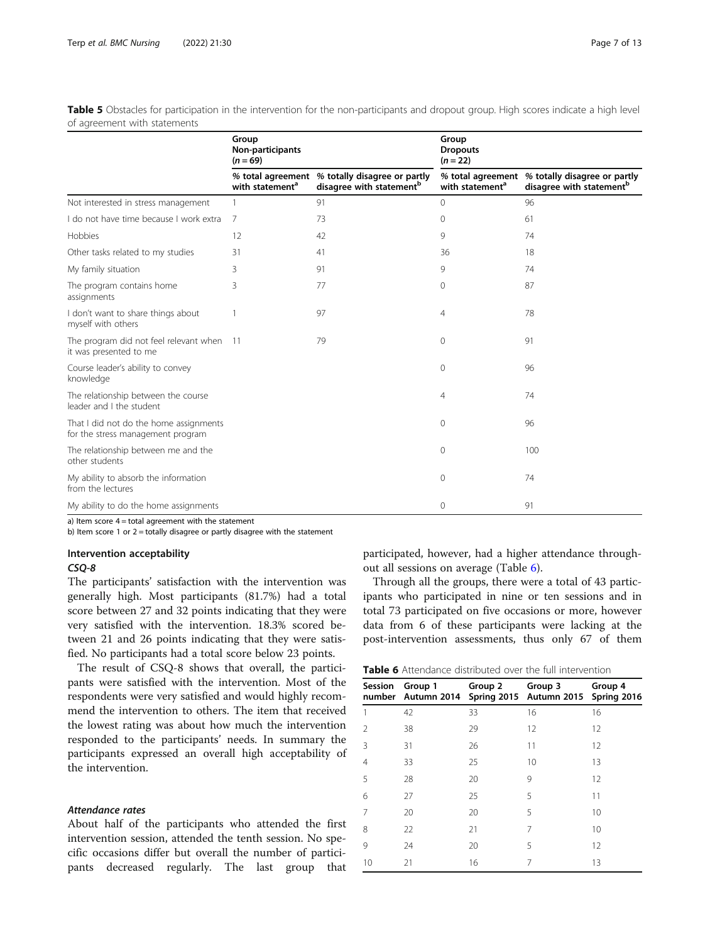<span id="page-6-0"></span>Table 5 Obstacles for participation in the intervention for the non-participants and dropout group. High scores indicate a high level of agreement with statements

|                                                                             | Group<br>Non-participants<br>$(n = 69)$ |                                                                                        | Group<br><b>Dropouts</b><br>$(n = 22)$ |                                                                                        |
|-----------------------------------------------------------------------------|-----------------------------------------|----------------------------------------------------------------------------------------|----------------------------------------|----------------------------------------------------------------------------------------|
|                                                                             | with statement <sup>a</sup>             | % total agreement % totally disagree or partly<br>disagree with statement <sup>b</sup> | with statement <sup>a</sup>            | % total agreement % totally disagree or partly<br>disagree with statement <sup>b</sup> |
| Not interested in stress management                                         |                                         | 91                                                                                     | $\Omega$                               | 96                                                                                     |
| I do not have time because I work extra                                     | 7                                       | 73                                                                                     | 0                                      | 61                                                                                     |
| Hobbies                                                                     | 12                                      | 42                                                                                     | 9                                      | 74                                                                                     |
| Other tasks related to my studies                                           | 31                                      | 41                                                                                     | 36                                     | 18                                                                                     |
| My family situation                                                         | 3                                       | 91                                                                                     | 9                                      | 74                                                                                     |
| The program contains home<br>assignments                                    | 3                                       | 77                                                                                     | 0                                      | 87                                                                                     |
| I don't want to share things about<br>myself with others                    |                                         | 97                                                                                     | 4                                      | 78                                                                                     |
| The program did not feel relevant when 11<br>it was presented to me         |                                         | 79                                                                                     | 0                                      | 91                                                                                     |
| Course leader's ability to convey<br>knowledge                              |                                         |                                                                                        | 0                                      | 96                                                                                     |
| The relationship between the course<br>leader and I the student             |                                         |                                                                                        | 4                                      | 74                                                                                     |
| That I did not do the home assignments<br>for the stress management program |                                         |                                                                                        | $\Omega$                               | 96                                                                                     |
| The relationship between me and the<br>other students                       |                                         |                                                                                        | 0                                      | 100                                                                                    |
| My ability to absorb the information<br>from the lectures                   |                                         |                                                                                        | $\Omega$                               | 74                                                                                     |
| My ability to do the home assignments                                       |                                         |                                                                                        | 0                                      | 91                                                                                     |

a) Item score 4 = total agreement with the statement

b) Item score 1 or  $2 =$  totally disagree or partly disagree with the statement

## Intervention acceptability

#### CSQ-8

The participants' satisfaction with the intervention was generally high. Most participants (81.7%) had a total score between 27 and 32 points indicating that they were very satisfied with the intervention. 18.3% scored between 21 and 26 points indicating that they were satisfied. No participants had a total score below 23 points.

The result of CSQ-8 shows that overall, the participants were satisfied with the intervention. Most of the respondents were very satisfied and would highly recommend the intervention to others. The item that received the lowest rating was about how much the intervention responded to the participants' needs. In summary the participants expressed an overall high acceptability of the intervention.

## Attendance rates

About half of the participants who attended the first intervention session, attended the tenth session. No specific occasions differ but overall the number of participants decreased regularly. The last group that

participated, however, had a higher attendance throughout all sessions on average (Table 6).

Through all the groups, there were a total of 43 participants who participated in nine or ten sessions and in total 73 participated on five occasions or more, however data from 6 of these participants were lacking at the post-intervention assessments, thus only 67 of them

| <b>Table 6</b> Attendance distributed over the full intervention |
|------------------------------------------------------------------|
|------------------------------------------------------------------|

| number | Session Group 1<br>Autumn 2014 | Group 2 | Group 3<br>Spring 2015 Autumn 2015 Spring 2016 | Group 4 |
|--------|--------------------------------|---------|------------------------------------------------|---------|
| 1      | 42                             | 33      | 16                                             | 16      |
| 2      | 38                             | 29      | 12                                             | 12      |
| 3      | 31                             | 26      | 11                                             | 12      |
| 4      | 33                             | 25      | 10                                             | 13      |
| 5      | 28                             | 20      | 9                                              | 12      |
| 6      | 27                             | 25      | 5                                              | 11      |
| 7      | 20                             | 20      | 5                                              | 10      |
| 8      | 22                             | 21      | 7                                              | 10      |
| 9      | 24                             | 20      | 5                                              | 12      |
| 10     | 21                             | 16      | 7                                              | 13      |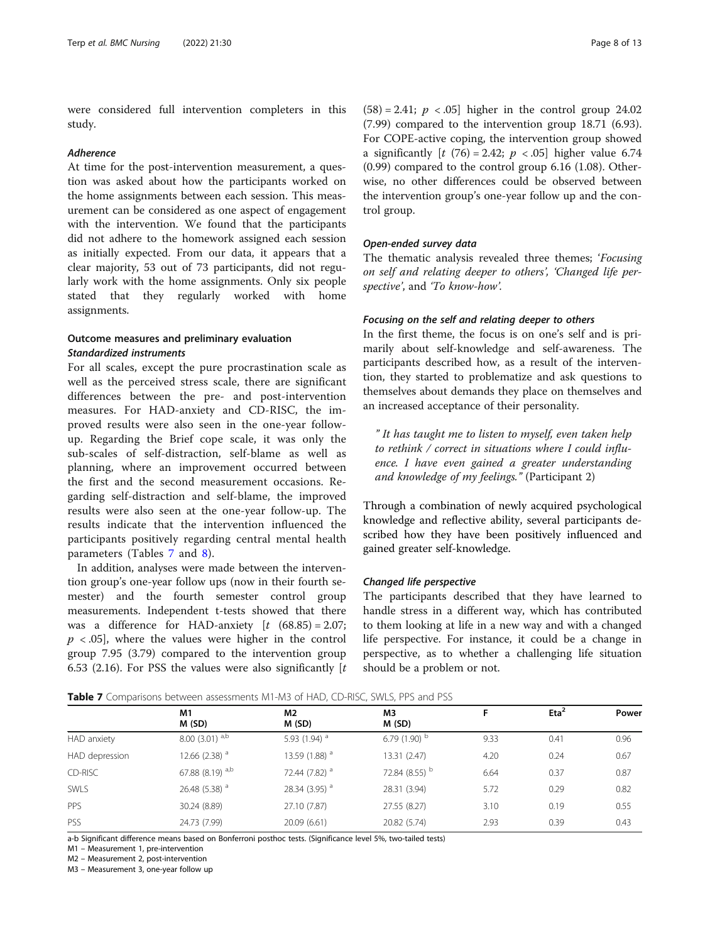<span id="page-7-0"></span>were considered full intervention completers in this study.

#### Adherence

At time for the post-intervention measurement, a question was asked about how the participants worked on the home assignments between each session. This measurement can be considered as one aspect of engagement with the intervention. We found that the participants did not adhere to the homework assigned each session as initially expected. From our data, it appears that a clear majority, 53 out of 73 participants, did not regularly work with the home assignments. Only six people stated that they regularly worked with home assignments.

## Outcome measures and preliminary evaluation Standardized instruments

For all scales, except the pure procrastination scale as well as the perceived stress scale, there are significant differences between the pre- and post-intervention measures. For HAD-anxiety and CD-RISC, the improved results were also seen in the one-year followup. Regarding the Brief cope scale, it was only the sub-scales of self-distraction, self-blame as well as planning, where an improvement occurred between the first and the second measurement occasions. Regarding self-distraction and self-blame, the improved results were also seen at the one-year follow-up. The results indicate that the intervention influenced the participants positively regarding central mental health parameters (Tables 7 and [8](#page-8-0)).

In addition, analyses were made between the intervention group's one-year follow ups (now in their fourth semester) and the fourth semester control group measurements. Independent t-tests showed that there was a difference for HAD-anxiety  $[t (68.85) = 2.07;$  $p \lt 0.05$ , where the values were higher in the control group 7.95 (3.79) compared to the intervention group 6.53 (2.16). For PSS the values were also significantly  $[t]$ 

 $(58) = 2.41$ ;  $p < .05$ ] higher in the control group 24.02 (7.99) compared to the intervention group 18.71 (6.93). For COPE-active coping, the intervention group showed a significantly  $[t (76) = 2.42; p < .05]$  higher value 6.74 (0.99) compared to the control group 6.16 (1.08). Otherwise, no other differences could be observed between the intervention group's one-year follow up and the control group.

#### Open-ended survey data

The thematic analysis revealed three themes; 'Focusing on self and relating deeper to others', 'Changed life perspective', and 'To know-how'.

## Focusing on the self and relating deeper to others

In the first theme, the focus is on one's self and is primarily about self-knowledge and self-awareness. The participants described how, as a result of the intervention, they started to problematize and ask questions to themselves about demands they place on themselves and an increased acceptance of their personality.

" It has taught me to listen to myself, even taken help to rethink / correct in situations where I could influence. I have even gained a greater understanding and knowledge of my feelings." (Participant 2)

Through a combination of newly acquired psychological knowledge and reflective ability, several participants described how they have been positively influenced and gained greater self-knowledge.

#### Changed life perspective

The participants described that they have learned to handle stress in a different way, which has contributed to them looking at life in a new way and with a changed life perspective. For instance, it could be a change in perspective, as to whether a challenging life situation should be a problem or not.

|                | M1<br>M(SD)               | M2<br>M (SD)              | M3<br>M (SD)               | F    | $E$ ta <sup>2</sup> | Power |
|----------------|---------------------------|---------------------------|----------------------------|------|---------------------|-------|
| HAD anxiety    | $8.00(3.01)^{a,b}$        | 5.93 (1.94) <sup>a</sup>  | 6.79 $(1.90)$ <sup>b</sup> | 9.33 | 0.41                | 0.96  |
| HAD depression | 12.66 (2.38) $^a$         | 13.59 (1.88) $^a$         | 13.31 (2.47)               | 4.20 | 0.24                | 0.67  |
| CD-RISC        | 67.88 (8.19) $a,b$        | 72.44 (7.82) <sup>a</sup> | 72.84 (8.55) b             | 6.64 | 0.37                | 0.87  |
| <b>SWLS</b>    | 26.48 (5.38) <sup>a</sup> | 28.34 (3.95) <sup>a</sup> | 28.31 (3.94)               | 5.72 | 0.29                | 0.82  |
| PPS            | 30.24 (8.89)              | 27.10 (7.87)              | 27.55 (8.27)               | 3.10 | 0.19                | 0.55  |
| PSS            | 24.73 (7.99)              | 20.09 (6.61)              | 20.82 (5.74)               | 2.93 | 0.39                | 0.43  |

Table 7 Comparisons between assessments M1-M3 of HAD, CD-RISC, SWLS, PPS and PSS

a-b Significant difference means based on Bonferroni posthoc tests. (Significance level 5%, two-tailed tests)

M1 – Measurement 1, pre-intervention

M2 – Measurement 2, post-intervention

M3 – Measurement 3, one-year follow up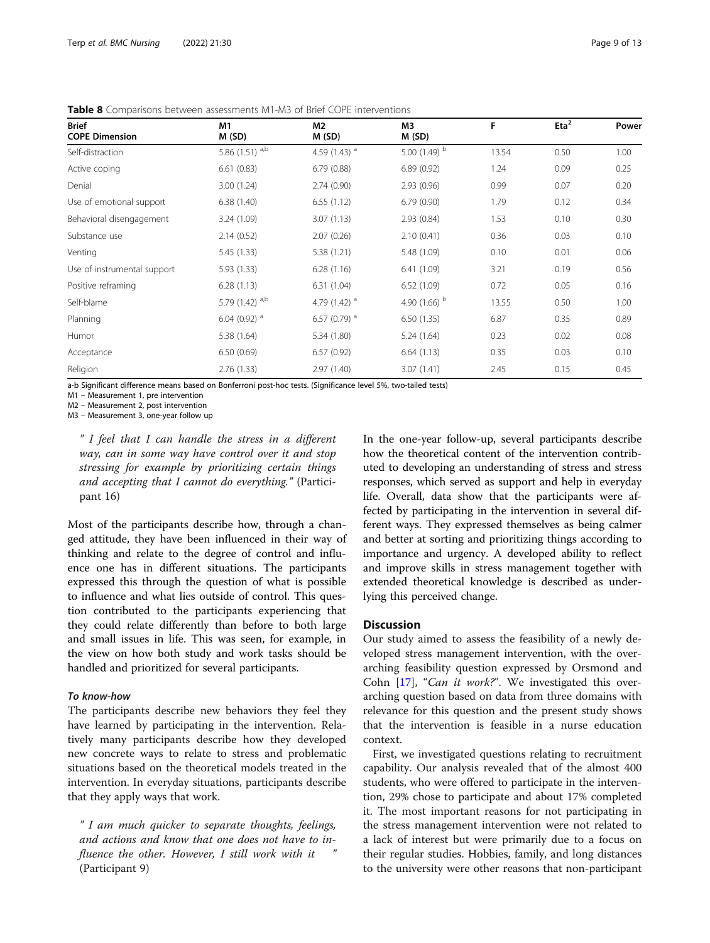| <b>Brief</b><br><b>COPE Dimension</b> | M1<br>M(SD)                  | M2<br>M(SD)                | MЗ<br>M(SD)                | F     | Eta <sup>2</sup> | Power |
|---------------------------------------|------------------------------|----------------------------|----------------------------|-------|------------------|-------|
| Self-distraction                      | 5.86 $(1.51)$ <sup>a,b</sup> | 4.59 $(1.43)$ <sup>a</sup> | 5.00 $(1.49)$ <sup>b</sup> | 13.54 | 0.50             | 1.00  |
| Active coping                         | 6.61(0.83)                   | 6.79(0.88)                 | 6.89(0.92)                 | 1.24  | 0.09             | 0.25  |
| Denial                                | 3.00(1.24)                   | 2.74(0.90)                 | 2.93(0.96)                 | 0.99  | 0.07             | 0.20  |
| Use of emotional support              | 6.38(1.40)                   | 6.55(1.12)                 | 6.79(0.90)                 | 1.79  | 0.12             | 0.34  |
| Behavioral disengagement              | 3.24 (1.09)                  | 3.07(1.13)                 | 2.93(0.84)                 | 1.53  | 0.10             | 0.30  |
| Substance use                         | 2.14(0.52)                   | 2.07(0.26)                 | 2.10(0.41)                 | 0.36  | 0.03             | 0.10  |
| Venting                               | 5.45(1.33)                   | 5.38 (1.21)                | 5.48 (1.09)                | 0.10  | 0.01             | 0.06  |
| Use of instrumental support           | 5.93(1.33)                   | 6.28(1.16)                 | 6.41(1.09)                 | 3.21  | 0.19             | 0.56  |
| Positive reframing                    | 6.28(1.13)                   | 6.31(1.04)                 | 6.52(1.09)                 | 0.72  | 0.05             | 0.16  |
| Self-blame                            | 5.79 $(1.42)$ <sup>a,b</sup> | 4.79 $(1.42)$ <sup>a</sup> | 4.90 $(1.66)$ <sup>b</sup> | 13.55 | 0.50             | 1.00  |
| Planning                              | 6.04 (0.92) $a$              | 6.57 (0.79) $^a$           | 6.50(1.35)                 | 6.87  | 0.35             | 0.89  |
| Humor                                 | 5.38 (1.64)                  | 5.34 (1.80)                | 5.24 (1.64)                | 0.23  | 0.02             | 0.08  |
| Acceptance                            | 6.50(0.69)                   | 6.57(0.92)                 | 6.64(1.13)                 | 0.35  | 0.03             | 0.10  |
| Religion                              | 2.76(1.33)                   | 2.97(1.40)                 | 3.07(1.41)                 | 2.45  | 0.15             | 0.45  |

<span id="page-8-0"></span>Table 8 Comparisons between assessments M1-M3 of Brief COPE interventions

a-b Significant difference means based on Bonferroni post-hoc tests. (Significance level 5%, two-tailed tests)

M1 – Measurement 1, pre intervention

M2 – Measurement 2, post intervention

M3 – Measurement 3, one-year follow up

" I feel that I can handle the stress in a different way, can in some way have control over it and stop stressing for example by prioritizing certain things and accepting that I cannot do everything." (Participant 16)

Most of the participants describe how, through a changed attitude, they have been influenced in their way of thinking and relate to the degree of control and influence one has in different situations. The participants expressed this through the question of what is possible to influence and what lies outside of control. This question contributed to the participants experiencing that they could relate differently than before to both large and small issues in life. This was seen, for example, in the view on how both study and work tasks should be handled and prioritized for several participants.

#### To know-how

The participants describe new behaviors they feel they have learned by participating in the intervention. Relatively many participants describe how they developed new concrete ways to relate to stress and problematic situations based on the theoretical models treated in the intervention. In everyday situations, participants describe that they apply ways that work.

" I am much quicker to separate thoughts, feelings, and actions and know that one does not have to influence the other. However, I still work with it (Participant 9)

In the one-year follow-up, several participants describe how the theoretical content of the intervention contributed to developing an understanding of stress and stress responses, which served as support and help in everyday life. Overall, data show that the participants were affected by participating in the intervention in several different ways. They expressed themselves as being calmer and better at sorting and prioritizing things according to importance and urgency. A developed ability to reflect and improve skills in stress management together with extended theoretical knowledge is described as underlying this perceived change.

## **Discussion**

Our study aimed to assess the feasibility of a newly developed stress management intervention, with the overarching feasibility question expressed by Orsmond and Cohn [\[17](#page-11-0)], "Can it work?". We investigated this overarching question based on data from three domains with relevance for this question and the present study shows that the intervention is feasible in a nurse education context.

First, we investigated questions relating to recruitment capability. Our analysis revealed that of the almost 400 students, who were offered to participate in the intervention, 29% chose to participate and about 17% completed it. The most important reasons for not participating in the stress management intervention were not related to a lack of interest but were primarily due to a focus on their regular studies. Hobbies, family, and long distances to the university were other reasons that non-participant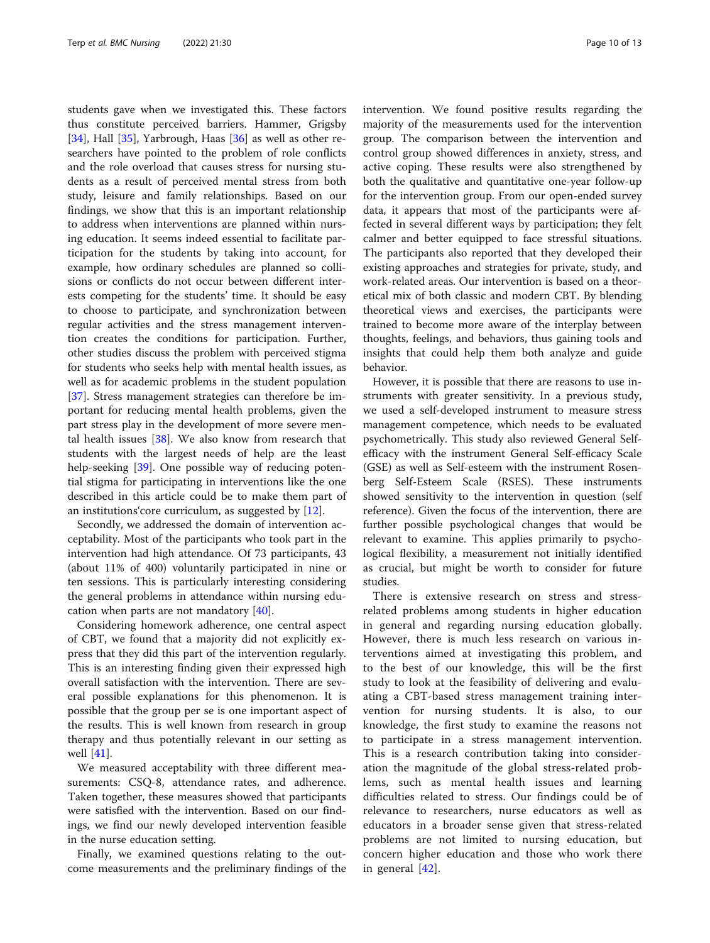students gave when we investigated this. These factors thus constitute perceived barriers. Hammer, Grigsby [[34\]](#page-11-0), Hall [[35\]](#page-12-0), Yarbrough, Haas [\[36](#page-12-0)] as well as other researchers have pointed to the problem of role conflicts and the role overload that causes stress for nursing students as a result of perceived mental stress from both study, leisure and family relationships. Based on our findings, we show that this is an important relationship to address when interventions are planned within nursing education. It seems indeed essential to facilitate participation for the students by taking into account, for example, how ordinary schedules are planned so collisions or conflicts do not occur between different interests competing for the students' time. It should be easy to choose to participate, and synchronization between regular activities and the stress management intervention creates the conditions for participation. Further, other studies discuss the problem with perceived stigma for students who seeks help with mental health issues, as well as for academic problems in the student population [[37\]](#page-12-0). Stress management strategies can therefore be important for reducing mental health problems, given the part stress play in the development of more severe mental health issues  $[38]$ . We also know from research that students with the largest needs of help are the least help-seeking [\[39\]](#page-12-0). One possible way of reducing potential stigma for participating in interventions like the one described in this article could be to make them part of an institutions'core curriculum, as suggested by [[12](#page-11-0)].

Secondly, we addressed the domain of intervention acceptability. Most of the participants who took part in the intervention had high attendance. Of 73 participants, 43 (about 11% of 400) voluntarily participated in nine or ten sessions. This is particularly interesting considering the general problems in attendance within nursing education when parts are not mandatory [[40\]](#page-12-0).

Considering homework adherence, one central aspect of CBT, we found that a majority did not explicitly express that they did this part of the intervention regularly. This is an interesting finding given their expressed high overall satisfaction with the intervention. There are several possible explanations for this phenomenon. It is possible that the group per se is one important aspect of the results. This is well known from research in group therapy and thus potentially relevant in our setting as well [\[41](#page-12-0)].

We measured acceptability with three different measurements: CSQ-8, attendance rates, and adherence. Taken together, these measures showed that participants were satisfied with the intervention. Based on our findings, we find our newly developed intervention feasible in the nurse education setting.

Finally, we examined questions relating to the outcome measurements and the preliminary findings of the intervention. We found positive results regarding the majority of the measurements used for the intervention group. The comparison between the intervention and control group showed differences in anxiety, stress, and active coping. These results were also strengthened by both the qualitative and quantitative one-year follow-up for the intervention group. From our open-ended survey data, it appears that most of the participants were affected in several different ways by participation; they felt calmer and better equipped to face stressful situations. The participants also reported that they developed their existing approaches and strategies for private, study, and work-related areas. Our intervention is based on a theoretical mix of both classic and modern CBT. By blending theoretical views and exercises, the participants were trained to become more aware of the interplay between thoughts, feelings, and behaviors, thus gaining tools and insights that could help them both analyze and guide behavior.

However, it is possible that there are reasons to use instruments with greater sensitivity. In a previous study, we used a self-developed instrument to measure stress management competence, which needs to be evaluated psychometrically. This study also reviewed General Selfefficacy with the instrument General Self-efficacy Scale (GSE) as well as Self-esteem with the instrument Rosenberg Self-Esteem Scale (RSES). These instruments showed sensitivity to the intervention in question (self reference). Given the focus of the intervention, there are further possible psychological changes that would be relevant to examine. This applies primarily to psychological flexibility, a measurement not initially identified as crucial, but might be worth to consider for future studies.

There is extensive research on stress and stressrelated problems among students in higher education in general and regarding nursing education globally. However, there is much less research on various interventions aimed at investigating this problem, and to the best of our knowledge, this will be the first study to look at the feasibility of delivering and evaluating a CBT-based stress management training intervention for nursing students. It is also, to our knowledge, the first study to examine the reasons not to participate in a stress management intervention. This is a research contribution taking into consideration the magnitude of the global stress-related problems, such as mental health issues and learning difficulties related to stress. Our findings could be of relevance to researchers, nurse educators as well as educators in a broader sense given that stress-related problems are not limited to nursing education, but concern higher education and those who work there in general [\[42](#page-12-0)].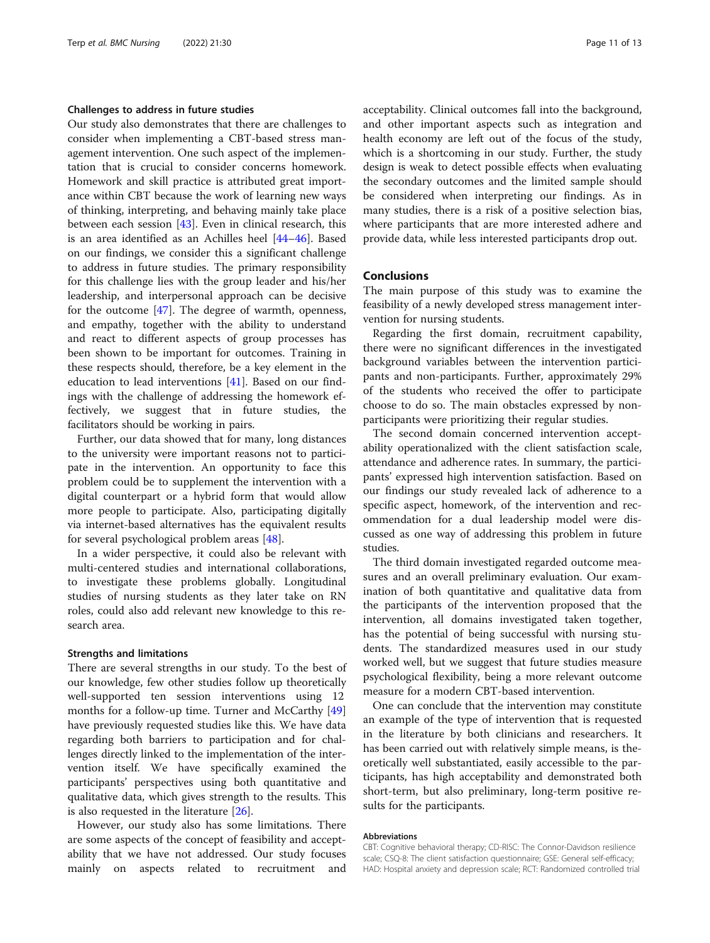#### Challenges to address in future studies

Our study also demonstrates that there are challenges to consider when implementing a CBT-based stress management intervention. One such aspect of the implementation that is crucial to consider concerns homework. Homework and skill practice is attributed great importance within CBT because the work of learning new ways of thinking, interpreting, and behaving mainly take place between each session [[43\]](#page-12-0). Even in clinical research, this is an area identified as an Achilles heel [[44](#page-12-0)–[46](#page-12-0)]. Based on our findings, we consider this a significant challenge to address in future studies. The primary responsibility for this challenge lies with the group leader and his/her leadership, and interpersonal approach can be decisive for the outcome [[47\]](#page-12-0). The degree of warmth, openness, and empathy, together with the ability to understand and react to different aspects of group processes has been shown to be important for outcomes. Training in these respects should, therefore, be a key element in the education to lead interventions [[41\]](#page-12-0). Based on our findings with the challenge of addressing the homework effectively, we suggest that in future studies, the facilitators should be working in pairs.

Further, our data showed that for many, long distances to the university were important reasons not to participate in the intervention. An opportunity to face this problem could be to supplement the intervention with a digital counterpart or a hybrid form that would allow more people to participate. Also, participating digitally via internet-based alternatives has the equivalent results for several psychological problem areas [\[48](#page-12-0)].

In a wider perspective, it could also be relevant with multi-centered studies and international collaborations, to investigate these problems globally. Longitudinal studies of nursing students as they later take on RN roles, could also add relevant new knowledge to this research area.

#### Strengths and limitations

There are several strengths in our study. To the best of our knowledge, few other studies follow up theoretically well-supported ten session interventions using 12 months for a follow-up time. Turner and McCarthy [[49](#page-12-0)] have previously requested studies like this. We have data regarding both barriers to participation and for challenges directly linked to the implementation of the intervention itself. We have specifically examined the participants' perspectives using both quantitative and qualitative data, which gives strength to the results. This is also requested in the literature [\[26](#page-11-0)].

However, our study also has some limitations. There are some aspects of the concept of feasibility and acceptability that we have not addressed. Our study focuses mainly on aspects related to recruitment and acceptability. Clinical outcomes fall into the background, and other important aspects such as integration and health economy are left out of the focus of the study, which is a shortcoming in our study. Further, the study design is weak to detect possible effects when evaluating the secondary outcomes and the limited sample should be considered when interpreting our findings. As in many studies, there is a risk of a positive selection bias, where participants that are more interested adhere and provide data, while less interested participants drop out.

## Conclusions

The main purpose of this study was to examine the feasibility of a newly developed stress management intervention for nursing students.

Regarding the first domain, recruitment capability, there were no significant differences in the investigated background variables between the intervention participants and non-participants. Further, approximately 29% of the students who received the offer to participate choose to do so. The main obstacles expressed by nonparticipants were prioritizing their regular studies.

The second domain concerned intervention acceptability operationalized with the client satisfaction scale, attendance and adherence rates. In summary, the participants' expressed high intervention satisfaction. Based on our findings our study revealed lack of adherence to a specific aspect, homework, of the intervention and recommendation for a dual leadership model were discussed as one way of addressing this problem in future studies.

The third domain investigated regarded outcome measures and an overall preliminary evaluation. Our examination of both quantitative and qualitative data from the participants of the intervention proposed that the intervention, all domains investigated taken together, has the potential of being successful with nursing students. The standardized measures used in our study worked well, but we suggest that future studies measure psychological flexibility, being a more relevant outcome measure for a modern CBT-based intervention.

One can conclude that the intervention may constitute an example of the type of intervention that is requested in the literature by both clinicians and researchers. It has been carried out with relatively simple means, is theoretically well substantiated, easily accessible to the participants, has high acceptability and demonstrated both short-term, but also preliminary, long-term positive results for the participants.

#### Abbreviations

CBT: Cognitive behavioral therapy; CD-RISC: The Connor-Davidson resilience scale; CSQ-8: The client satisfaction questionnaire; GSE: General self-efficacy; HAD: Hospital anxiety and depression scale; RCT: Randomized controlled trial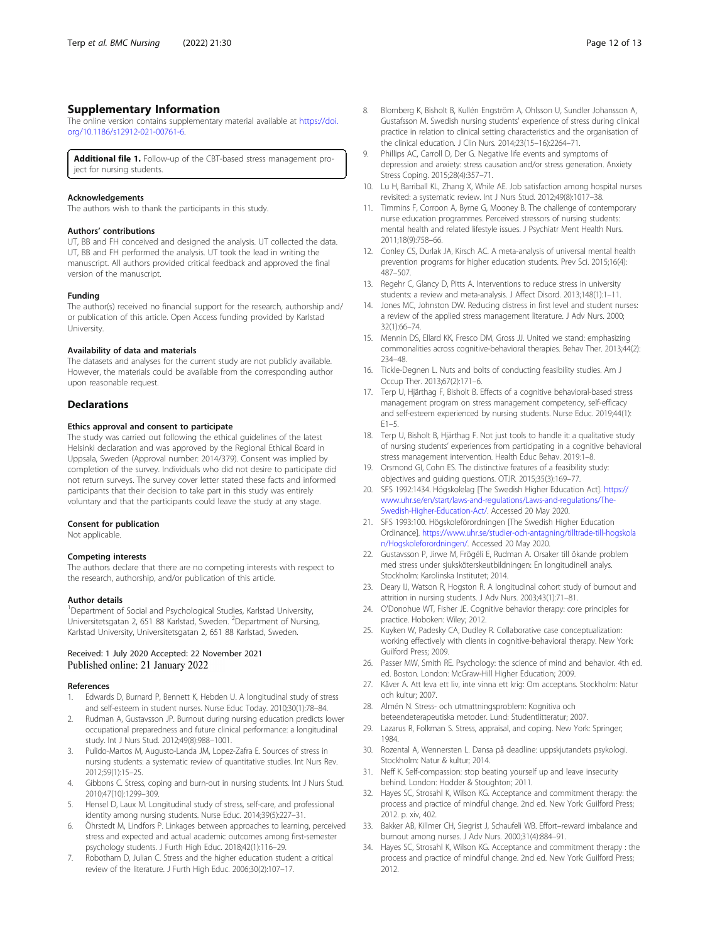## <span id="page-11-0"></span>Supplementary Information

The online version contains supplementary material available at [https://doi.](https://doi.org/10.1186/s12912-021-00761-6) [org/10.1186/s12912-021-00761-6.](https://doi.org/10.1186/s12912-021-00761-6)

Additional file 1. Follow-up of the CBT-based stress management project for nursing students.

#### Acknowledgements

The authors wish to thank the participants in this study.

#### Authors' contributions

UT, BB and FH conceived and designed the analysis. UT collected the data. UT, BB and FH performed the analysis. UT took the lead in writing the manuscript. All authors provided critical feedback and approved the final version of the manuscript.

#### Funding

The author(s) received no financial support for the research, authorship and/ or publication of this article. Open Access funding provided by Karlstad University.

#### Availability of data and materials

The datasets and analyses for the current study are not publicly available. However, the materials could be available from the corresponding author upon reasonable request.

#### **Declarations**

### Ethics approval and consent to participate

The study was carried out following the ethical guidelines of the latest Helsinki declaration and was approved by the Regional Ethical Board in Uppsala, Sweden (Approval number: 2014/379). Consent was implied by completion of the survey. Individuals who did not desire to participate did not return surveys. The survey cover letter stated these facts and informed participants that their decision to take part in this study was entirely voluntary and that the participants could leave the study at any stage.

#### Consent for publication

Not applicable.

#### Competing interests

The authors declare that there are no competing interests with respect to the research, authorship, and/or publication of this article.

#### Author details

<sup>1</sup>Department of Social and Psychological Studies, Karlstad University, Universitetsgatan 2, 651 88 Karlstad, Sweden. <sup>2</sup>Department of Nursing, Karlstad University, Universitetsgatan 2, 651 88 Karlstad, Sweden.

#### Received: 1 July 2020 Accepted: 22 November 2021 Published online: 21 January 2022

#### References

- 1. Edwards D, Burnard P, Bennett K, Hebden U. A longitudinal study of stress and self-esteem in student nurses. Nurse Educ Today. 2010;30(1):78–84.
- 2. Rudman A, Gustavsson JP. Burnout during nursing education predicts lower occupational preparedness and future clinical performance: a longitudinal study. Int J Nurs Stud. 2012;49(8):988–1001.
- Pulido-Martos M, Augusto-Landa JM, Lopez-Zafra E. Sources of stress in nursing students: a systematic review of quantitative studies. Int Nurs Rev. 2012;59(1):15–25.
- 4. Gibbons C. Stress, coping and burn-out in nursing students. Int J Nurs Stud. 2010;47(10):1299–309.
- 5. Hensel D, Laux M. Longitudinal study of stress, self-care, and professional identity among nursing students. Nurse Educ. 2014;39(5):227–31.
- Öhrstedt M, Lindfors P. Linkages between approaches to learning, perceived stress and expected and actual academic outcomes among first-semester psychology students. J Furth High Educ. 2018;42(1):116–29.
- 7. Robotham D, Julian C. Stress and the higher education student: a critical review of the literature. J Furth High Educ. 2006;30(2):107–17.
- 8. Blomberg K, Bisholt B, Kullén Engström A, Ohlsson U, Sundler Johansson A, Gustafsson M. Swedish nursing students' experience of stress during clinical practice in relation to clinical setting characteristics and the organisation of the clinical education. J Clin Nurs. 2014;23(15–16):2264–71.
- 9. Phillips AC, Carroll D, Der G. Negative life events and symptoms of depression and anxiety: stress causation and/or stress generation. Anxiety Stress Coping. 2015;28(4):357–71.
- 10. Lu H, Barriball KL, Zhang X, While AE. Job satisfaction among hospital nurses revisited: a systematic review. Int J Nurs Stud. 2012;49(8):1017–38.
- 11. Timmins F, Corroon A, Byrne G, Mooney B. The challenge of contemporary nurse education programmes. Perceived stressors of nursing students: mental health and related lifestyle issues. J Psychiatr Ment Health Nurs. 2011;18(9):758–66.
- 12. Conley CS, Durlak JA, Kirsch AC. A meta-analysis of universal mental health prevention programs for higher education students. Prev Sci. 2015;16(4): 487–507.
- 13. Regehr C, Glancy D, Pitts A, Interventions to reduce stress in university students: a review and meta-analysis. J Affect Disord. 2013;148(1):1–11.
- 14. Jones MC, Johnston DW. Reducing distress in first level and student nurses: a review of the applied stress management literature. J Adv Nurs. 2000; 32(1):66–74.
- 15. Mennin DS, Ellard KK, Fresco DM, Gross JJ. United we stand: emphasizing commonalities across cognitive-behavioral therapies. Behav Ther. 2013;44(2): 234–48.
- 16. Tickle-Degnen L. Nuts and bolts of conducting feasibility studies. Am J Occup Ther. 2013;67(2):171–6.
- 17. Terp U, Hjärthag F, Bisholt B. Effects of a cognitive behavioral-based stress management program on stress management competency, self-efficacy and self-esteem experienced by nursing students. Nurse Educ. 2019;44(1):  $F1 - 5.$
- 18. Terp U, Bisholt B, Hjärthag F. Not just tools to handle it: a qualitative study of nursing students' experiences from participating in a cognitive behavioral stress management intervention. Health Educ Behav. 2019:1–8.
- 19. Orsmond GI, Cohn ES. The distinctive features of a feasibility study: objectives and guiding questions. OTJR. 2015;35(3):169–77.
- 20. SFS 1992:1434. Högskolelag [The Swedish Higher Education Act]. [https://](https://www.uhr.se/en/start/laws-and-regulations/Laws-and-regulations/The-Swedish-Higher-Education-Act/) [www.uhr.se/en/start/laws-and-regulations/Laws-and-regulations/The-](https://www.uhr.se/en/start/laws-and-regulations/Laws-and-regulations/The-Swedish-Higher-Education-Act/)[Swedish-Higher-Education-Act/.](https://www.uhr.se/en/start/laws-and-regulations/Laws-and-regulations/The-Swedish-Higher-Education-Act/) Accessed 20 May 2020.
- 21. SFS 1993:100. Högskoleförordningen [The Swedish Higher Education Ordinance]. [https://www.uhr.se/studier-och-antagning/tilltrade-till-hogskola](https://www.uhr.se/studier-och-antagning/tilltrade-till-hogskolan/Hogskoleforordningen/) [n/Hogskoleforordningen/](https://www.uhr.se/studier-och-antagning/tilltrade-till-hogskolan/Hogskoleforordningen/). Accessed 20 May 2020.
- 22. Gustavsson P, Jirwe M, Frögéli E, Rudman A. Orsaker till ökande problem med stress under sjuksköterskeutbildningen: En longitudinell analys. Stockholm: Karolinska Institutet; 2014.
- 23. Deary IJ, Watson R, Hogston R. A longitudinal cohort study of burnout and attrition in nursing students. J Adv Nurs. 2003;43(1):71–81.
- 24. O'Donohue WT, Fisher JE. Cognitive behavior therapy: core principles for practice. Hoboken: Wiley; 2012.
- 25. Kuyken W, Padesky CA, Dudley R. Collaborative case conceptualization: working effectively with clients in cognitive-behavioral therapy. New York: Guilford Press; 2009.
- 26. Passer MW, Smith RE. Psychology: the science of mind and behavior. 4th ed. ed. Boston. London: McGraw-Hill Higher Education; 2009.
- 27. Kåver A. Att leva ett liv, inte vinna ett krig: Om acceptans. Stockholm: Natur och kultur; 2007.
- 28. Almén N. Stress- och utmattningsproblem: Kognitiva och beteendeterapeutiska metoder. Lund: Studentlitteratur; 2007.
- 29. Lazarus R, Folkman S. Stress, appraisal, and coping. New York: Springer; 1984.
- 30. Rozental A, Wennersten L. Dansa på deadline: uppskjutandets psykologi. Stockholm: Natur & kultur; 2014.
- 31. Neff K. Self-compassion: stop beating yourself up and leave insecurity behind. London: Hodder & Stoughton; 2011.
- 32. Hayes SC, Strosahl K, Wilson KG. Acceptance and commitment therapy: the process and practice of mindful change. 2nd ed. New York: Guilford Press; 2012. p. xiv, 402.
- 33. Bakker AB, Killmer CH, Siegrist J, Schaufeli WB. Effort–reward imbalance and burnout among nurses. J Adv Nurs. 2000;31(4):884–91.
- 34. Hayes SC, Strosahl K, Wilson KG. Acceptance and commitment therapy : the process and practice of mindful change. 2nd ed. New York: Guilford Press; 2012.